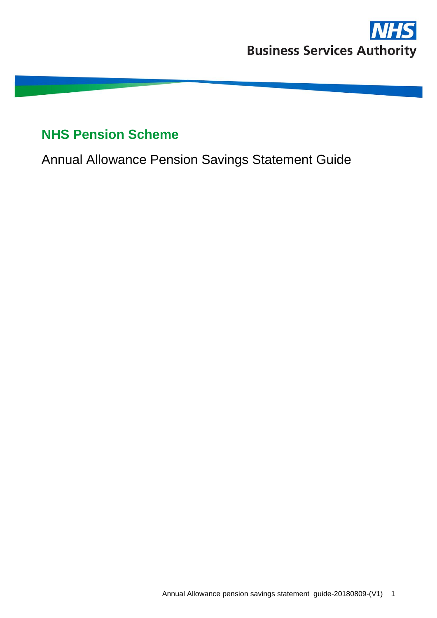

# **NHS Pension Scheme**

Annual Allowance Pension Savings Statement Guide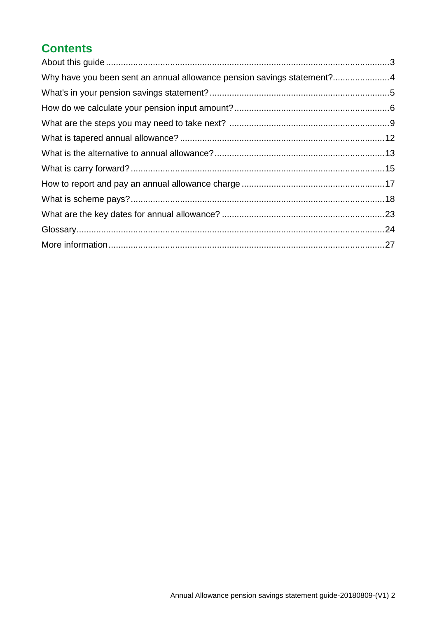## **Contents**

| Why have you been sent an annual allowance pension savings statement?4 |  |
|------------------------------------------------------------------------|--|
|                                                                        |  |
|                                                                        |  |
|                                                                        |  |
|                                                                        |  |
|                                                                        |  |
|                                                                        |  |
|                                                                        |  |
|                                                                        |  |
|                                                                        |  |
|                                                                        |  |
|                                                                        |  |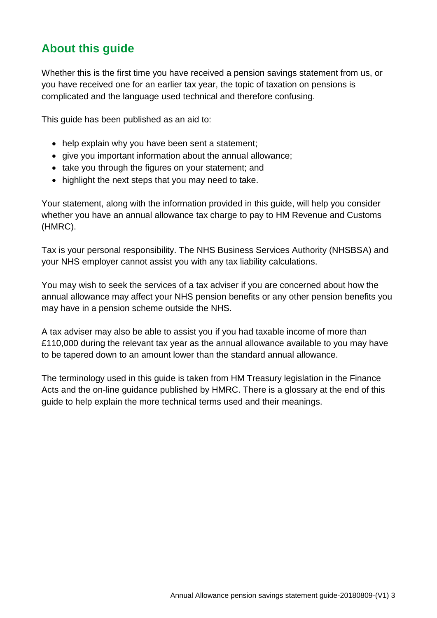## **About this guide**

Whether this is the first time you have received a pension savings statement from us, or you have received one for an earlier tax year, the topic of taxation on pensions is complicated and the language used technical and therefore confusing.

This guide has been published as an aid to:

- help explain why you have been sent a statement;
- give you important information about the annual allowance;
- take you through the figures on your statement; and
- highlight the next steps that you may need to take.

Your statement, along with the information provided in this guide, will help you consider whether you have an annual allowance tax charge to pay to HM Revenue and Customs (HMRC).

Tax is your personal responsibility. The NHS Business Services Authority (NHSBSA) and your NHS employer cannot assist you with any tax liability calculations.

You may wish to seek the services of a tax adviser if you are concerned about how the annual allowance may affect your NHS pension benefits or any other pension benefits you may have in a pension scheme outside the NHS.

A tax adviser may also be able to assist you if you had taxable income of more than £110,000 during the relevant tax year as the annual allowance available to you may have to be tapered down to an amount lower than the standard annual allowance.

The terminology used in this guide is taken from HM Treasury legislation in the Finance Acts and the on-line guidance published by HMRC. There is a glossary at the end of this guide to help explain the more technical terms used and their meanings.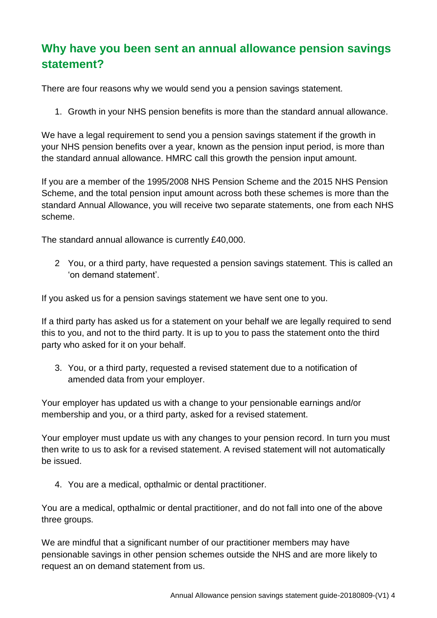## **Why have you been sent an annual allowance pension savings statement?**

There are four reasons why we would send you a pension savings statement.

1. Growth in your NHS pension benefits is more than the standard annual allowance.

We have a legal requirement to send you a pension savings statement if the growth in your NHS pension benefits over a year, known as the pension input period, is more than the standard annual allowance. HMRC call this growth the pension input amount.

If you are a member of the 1995/2008 NHS Pension Scheme and the 2015 NHS Pension Scheme, and the total pension input amount across both these schemes is more than the standard Annual Allowance, you will receive two separate statements, one from each NHS scheme.

The standard annual allowance is currently £40,000.

2 You, or a third party, have requested a pension savings statement. This is called an 'on demand statement'.

If you asked us for a pension savings statement we have sent one to you.

If a third party has asked us for a statement on your behalf we are legally required to send this to you, and not to the third party. It is up to you to pass the statement onto the third party who asked for it on your behalf.

3. You, or a third party, requested a revised statement due to a notification of amended data from your employer.

Your employer has updated us with a change to your pensionable earnings and/or membership and you, or a third party, asked for a revised statement.

Your employer must update us with any changes to your pension record. In turn you must then write to us to ask for a revised statement. A revised statement will not automatically be issued.

4. You are a medical, opthalmic or dental practitioner.

You are a medical, opthalmic or dental practitioner, and do not fall into one of the above three groups.

We are mindful that a significant number of our practitioner members may have pensionable savings in other pension schemes outside the NHS and are more likely to request an on demand statement from us.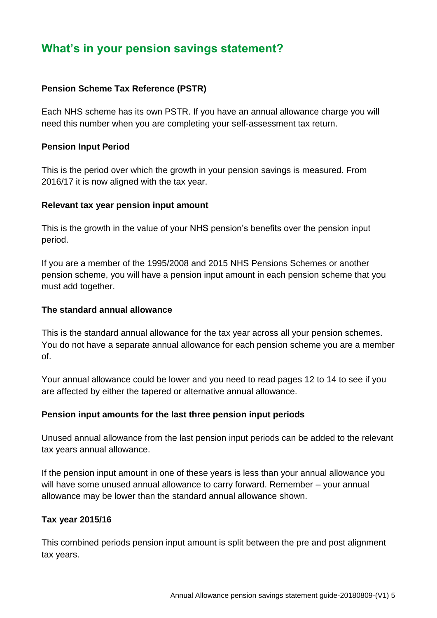## **What's in your pension savings statement?**

## **Pension Scheme Tax Reference (PSTR)**

Each NHS scheme has its own PSTR. If you have an annual allowance charge you will need this number when you are completing your self-assessment tax return.

#### **Pension Input Period**

This is the period over which the growth in your pension savings is measured. From 2016/17 it is now aligned with the tax year.

#### **Relevant tax year pension input amount**

This is the growth in the value of your NHS pension's benefits over the pension input period.

If you are a member of the 1995/2008 and 2015 NHS Pensions Schemes or another pension scheme, you will have a pension input amount in each pension scheme that you must add together.

#### **The standard annual allowance**

This is the standard annual allowance for the tax year across all your pension schemes. You do not have a separate annual allowance for each pension scheme you are a member of.

Your annual allowance could be lower and you need to read pages 12 to 14 to see if you are affected by either the tapered or alternative annual allowance.

## **Pension input amounts for the last three pension input periods**

Unused annual allowance from the last pension input periods can be added to the relevant tax years annual allowance.

If the pension input amount in one of these years is less than your annual allowance you will have some unused annual allowance to carry forward. Remember – your annual allowance may be lower than the standard annual allowance shown.

## **Tax year 2015/16**

This combined periods pension input amount is split between the pre and post alignment tax years.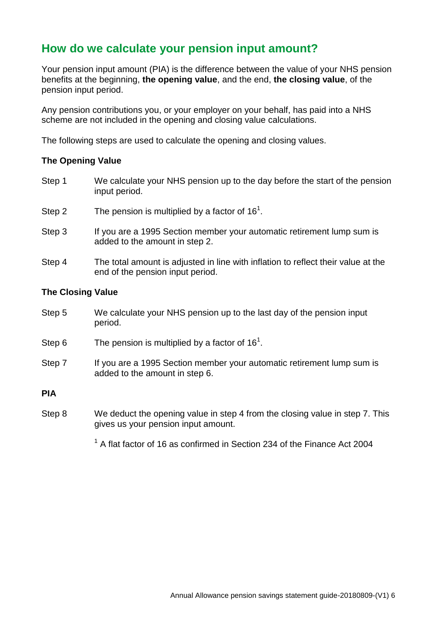## **How do we calculate your pension input amount?**

Your pension input amount (PIA) is the difference between the value of your NHS pension benefits at the beginning, **the opening value**, and the end, **the closing value**, of the pension input period.

Any pension contributions you, or your employer on your behalf, has paid into a NHS scheme are not included in the opening and closing value calculations.

The following steps are used to calculate the opening and closing values.

#### **The Opening Value**

- Step 1 We calculate your NHS pension up to the day before the start of the pension input period.
- Step 2 The pension is multiplied by a factor of  $16<sup>1</sup>$ .
- Step 3 If you are a 1995 Section member your automatic retirement lump sum is added to the amount in step 2.
- Step 4 The total amount is adjusted in line with inflation to reflect their value at the end of the pension input period.

#### **The Closing Value**

- Step 5 We calculate your NHS pension up to the last day of the pension input period.
- Step 6 The pension is multiplied by a factor of  $16<sup>1</sup>$ .
- Step 7 If you are a 1995 Section member your automatic retirement lump sum is added to the amount in step 6.

#### **PIA**

- Step 8 We deduct the opening value in step 4 from the closing value in step 7. This gives us your pension input amount.
	- $1$  A flat factor of 16 as confirmed in Section 234 of the Finance Act 2004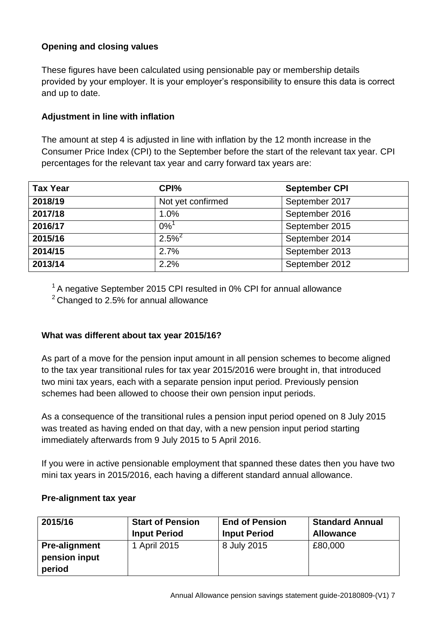## **Opening and closing values**

These figures have been calculated using pensionable pay or membership details provided by your employer. It is your employer's responsibility to ensure this data is correct and up to date.

## **Adjustment in line with inflation**

The amount at step 4 is adjusted in line with inflation by the 12 month increase in the Consumer Price Index (CPI) to the September before the start of the relevant tax year. CPI percentages for the relevant tax year and carry forward tax years are:

| <b>Tax Year</b> | CPI%               | <b>September CPI</b> |
|-----------------|--------------------|----------------------|
| 2018/19         | Not yet confirmed  | September 2017       |
| 2017/18         | 1.0%               | September 2016       |
| 2016/17         | $0\%$ <sup>1</sup> | September 2015       |
| 2015/16         | $2.5\%^{2}$        | September 2014       |
| 2014/15         | 2.7%               | September 2013       |
| 2013/14         | 2.2%               | September 2012       |

<sup>1</sup> A negative September 2015 CPI resulted in 0% CPI for annual allowance

 $2$  Changed to 2.5% for annual allowance

## **What was different about tax year 2015/16?**

As part of a move for the pension input amount in all pension schemes to become aligned to the tax year transitional rules for tax year 2015/2016 were brought in, that introduced two mini tax years, each with a separate pension input period. Previously pension schemes had been allowed to choose their own pension input periods.

As a consequence of the transitional rules a pension input period opened on 8 July 2015 was treated as having ended on that day, with a new pension input period starting immediately afterwards from 9 July 2015 to 5 April 2016.

If you were in active pensionable employment that spanned these dates then you have two mini tax years in 2015/2016, each having a different standard annual allowance.

## **Pre-alignment tax year**

| 2015/16              | <b>Start of Pension</b> | <b>End of Pension</b> | <b>Standard Annual</b> |
|----------------------|-------------------------|-----------------------|------------------------|
|                      | <b>Input Period</b>     | <b>Input Period</b>   | <b>Allowance</b>       |
| <b>Pre-alignment</b> | 1 April 2015            | 8 July 2015           | £80,000                |
| pension input        |                         |                       |                        |
| period               |                         |                       |                        |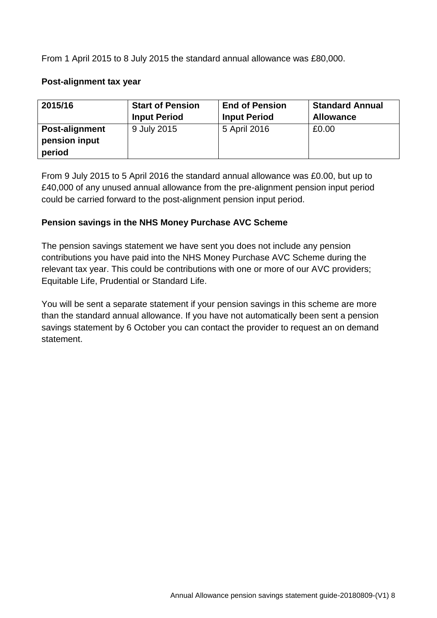From 1 April 2015 to 8 July 2015 the standard annual allowance was £80,000.

#### **Post-alignment tax year**

| 2015/16                                   | <b>Start of Pension</b> | <b>End of Pension</b> | <b>Standard Annual</b> |
|-------------------------------------------|-------------------------|-----------------------|------------------------|
|                                           | <b>Input Period</b>     | <b>Input Period</b>   | <b>Allowance</b>       |
| Post-alignment<br>pension input<br>period | 9 July 2015             | 5 April 2016          | £0.00                  |

From 9 July 2015 to 5 April 2016 the standard annual allowance was £0.00, but up to £40,000 of any unused annual allowance from the pre-alignment pension input period could be carried forward to the post-alignment pension input period.

#### **Pension savings in the NHS Money Purchase AVC Scheme**

The pension savings statement we have sent you does not include any pension contributions you have paid into the NHS Money Purchase AVC Scheme during the relevant tax year. This could be contributions with one or more of our AVC providers; Equitable Life, Prudential or Standard Life.

You will be sent a separate statement if your pension savings in this scheme are more than the standard annual allowance. If you have not automatically been sent a pension savings statement by 6 October you can contact the provider to request an on demand statement.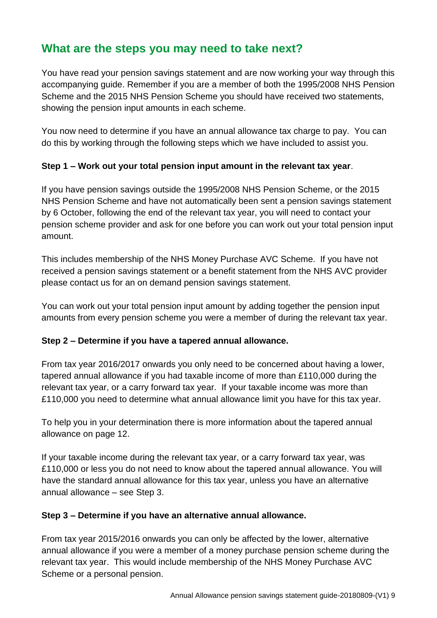## **What are the steps you may need to take next?**

You have read your pension savings statement and are now working your way through this accompanying guide. Remember if you are a member of both the 1995/2008 NHS Pension Scheme and the 2015 NHS Pension Scheme you should have received two statements, showing the pension input amounts in each scheme.

You now need to determine if you have an annual allowance tax charge to pay. You can do this by working through the following steps which we have included to assist you.

## **Step 1 – Work out your total pension input amount in the relevant tax year**.

If you have pension savings outside the 1995/2008 NHS Pension Scheme, or the 2015 NHS Pension Scheme and have not automatically been sent a pension savings statement by 6 October, following the end of the relevant tax year, you will need to contact your pension scheme provider and ask for one before you can work out your total pension input amount.

This includes membership of the NHS Money Purchase AVC Scheme. If you have not received a pension savings statement or a benefit statement from the NHS AVC provider please contact us for an on demand pension savings statement.

You can work out your total pension input amount by adding together the pension input amounts from every pension scheme you were a member of during the relevant tax year.

## **Step 2 – Determine if you have a tapered annual allowance.**

From tax year 2016/2017 onwards you only need to be concerned about having a lower, tapered annual allowance if you had taxable income of more than £110,000 during the relevant tax year, or a carry forward tax year. If your taxable income was more than £110,000 you need to determine what annual allowance limit you have for this tax year.

To help you in your determination there is more information about the tapered annual allowance on page 12.

If your taxable income during the relevant tax year, or a carry forward tax year, was £110,000 or less you do not need to know about the tapered annual allowance. You will have the standard annual allowance for this tax year, unless you have an alternative annual allowance – see Step 3.

## **Step 3 – Determine if you have an alternative annual allowance.**

From tax year 2015/2016 onwards you can only be affected by the lower, alternative annual allowance if you were a member of a money purchase pension scheme during the relevant tax year. This would include membership of the NHS Money Purchase AVC Scheme or a personal pension.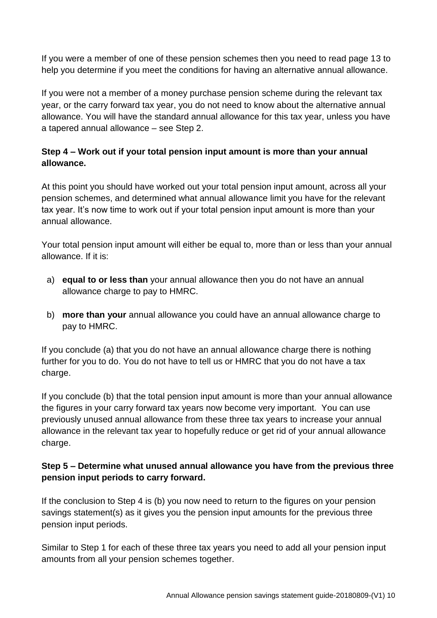If you were a member of one of these pension schemes then you need to read page 13 to help you determine if you meet the conditions for having an alternative annual allowance.

If you were not a member of a money purchase pension scheme during the relevant tax year, or the carry forward tax year, you do not need to know about the alternative annual allowance. You will have the standard annual allowance for this tax year, unless you have a tapered annual allowance – see Step 2.

## **Step 4 – Work out if your total pension input amount is more than your annual allowance.**

At this point you should have worked out your total pension input amount, across all your pension schemes, and determined what annual allowance limit you have for the relevant tax year. It's now time to work out if your total pension input amount is more than your annual allowance.

Your total pension input amount will either be equal to, more than or less than your annual allowance. If it is:

- a) **equal to or less than** your annual allowance then you do not have an annual allowance charge to pay to HMRC.
- b) **more than your** annual allowance you could have an annual allowance charge to pay to HMRC.

If you conclude (a) that you do not have an annual allowance charge there is nothing further for you to do. You do not have to tell us or HMRC that you do not have a tax charge.

If you conclude (b) that the total pension input amount is more than your annual allowance the figures in your carry forward tax years now become very important. You can use previously unused annual allowance from these three tax years to increase your annual allowance in the relevant tax year to hopefully reduce or get rid of your annual allowance charge.

## **Step 5 – Determine what unused annual allowance you have from the previous three pension input periods to carry forward.**

If the conclusion to Step 4 is (b) you now need to return to the figures on your pension savings statement(s) as it gives you the pension input amounts for the previous three pension input periods.

Similar to Step 1 for each of these three tax years you need to add all your pension input amounts from all your pension schemes together.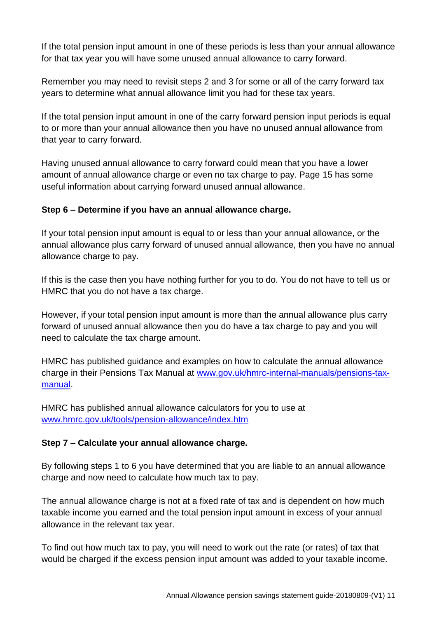If the total pension input amount in one of these periods is less than your annual allowance for that tax year you will have some unused annual allowance to carry forward.

Remember you may need to revisit steps 2 and 3 for some or all of the carry forward tax years to determine what annual allowance limit you had for these tax years.

If the total pension input amount in one of the carry forward pension input periods is equal to or more than your annual allowance then you have no unused annual allowance from that year to carry forward.

Having unused annual allowance to carry forward could mean that you have a lower amount of annual allowance charge or even no tax charge to pay. Page 15 has some useful information about carrying forward unused annual allowance.

## **Step 6 – Determine if you have an annual allowance charge.**

If your total pension input amount is equal to or less than your annual allowance, or the annual allowance plus carry forward of unused annual allowance, then you have no annual allowance charge to pay.

If this is the case then you have nothing further for you to do. You do not have to tell us or HMRC that you do not have a tax charge.

However, if your total pension input amount is more than the annual allowance plus carry forward of unused annual allowance then you do have a tax charge to pay and you will need to calculate the tax charge amount.

HMRC has published guidance and examples on how to calculate the annual allowance charge in their Pensions Tax Manual at [www.gov.uk/hmrc-internal-manuals/pensions-tax](http://www.gov.uk/hmrc-internal-manuals/pensions-tax-manual)[manual.](http://www.gov.uk/hmrc-internal-manuals/pensions-tax-manual)

HMRC has published annual allowance calculators for you to use at [www.hmrc.gov.uk/tools/pension-allowance/index.htm](http://www.hmrc.gov.uk/tools/pension-allowance/index.htm)

## **Step 7 – Calculate your annual allowance charge.**

By following steps 1 to 6 you have determined that you are liable to an annual allowance charge and now need to calculate how much tax to pay.

The annual allowance charge is not at a fixed rate of tax and is dependent on how much taxable income you earned and the total pension input amount in excess of your annual allowance in the relevant tax year.

To find out how much tax to pay, you will need to work out the rate (or rates) of tax that would be charged if the excess pension input amount was added to your taxable income.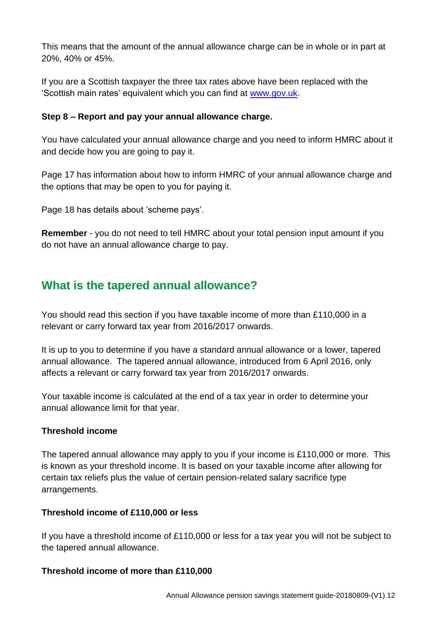This means that the amount of the annual allowance charge can be in whole or in part at 20%, 40% or 45%.

If you are a Scottish taxpayer the three tax rates above have been replaced with the 'Scottish main rates' equivalent which you can find at [www.gov.uk.](http://www.gov.uk/)

## **Step 8 – Report and pay your annual allowance charge.**

You have calculated your annual allowance charge and you need to inform HMRC about it and decide how you are going to pay it.

Page 17 has information about how to inform HMRC of your annual allowance charge and the options that may be open to you for paying it.

Page 18 has details about 'scheme pays'.

**Remember** - you do not need to tell HMRC about your total pension input amount if you do not have an annual allowance charge to pay.

## **What is the tapered annual allowance?**

You should read this section if you have taxable income of more than £110,000 in a relevant or carry forward tax year from 2016/2017 onwards.

It is up to you to determine if you have a standard annual allowance or a lower, tapered annual allowance. The tapered annual allowance, introduced from 6 April 2016, only affects a relevant or carry forward tax year from 2016/2017 onwards.

Your taxable income is calculated at the end of a tax year in order to determine your annual allowance limit for that year.

## **Threshold income**

The tapered annual allowance may apply to you if your income is £110,000 or more. This is known as your threshold income. It is based on your taxable income after allowing for certain tax reliefs plus the value of certain pension-related salary sacrifice type arrangements.

## **Threshold income of £110,000 or less**

If you have a threshold income of £110,000 or less for a tax year you will not be subject to the tapered annual allowance.

## **Threshold income of more than £110,000**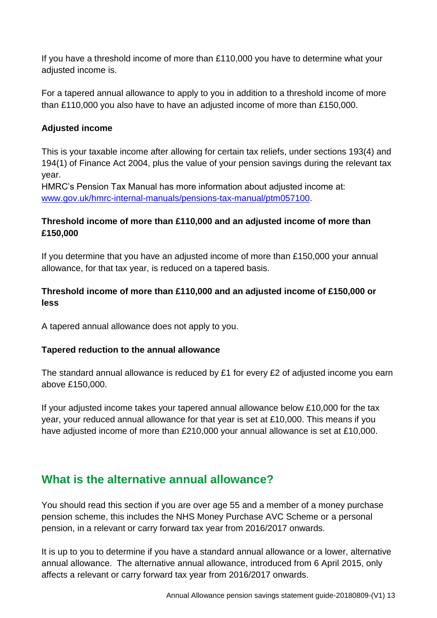If you have a threshold income of more than £110,000 you have to determine what your adjusted income is.

For a tapered annual allowance to apply to you in addition to a threshold income of more than £110,000 you also have to have an adjusted income of more than £150,000.

### **Adjusted income**

This is your taxable income after allowing for certain tax reliefs, under sections 193(4) and 194(1) of Finance Act 2004, plus the value of your pension savings during the relevant tax year.

HMRC's Pension Tax Manual has more information about adjusted income at: [www.gov.uk/hmrc-internal-manuals/pensions-tax-manual/ptm057100.](http://www.gov.uk/hmrc-internal-manuals/pensions-tax-manual/ptm057100)

## **Threshold income of more than £110,000 and an adjusted income of more than £150,000**

If you determine that you have an adjusted income of more than £150,000 your annual allowance, for that tax year, is reduced on a tapered basis.

## **Threshold income of more than £110,000 and an adjusted income of £150,000 or less**

A tapered annual allowance does not apply to you.

#### **Tapered reduction to the annual allowance**

The standard annual allowance is reduced by £1 for every £2 of adjusted income you earn above £150,000.

If your adjusted income takes your tapered annual allowance below £10,000 for the tax year, your reduced annual allowance for that year is set at £10,000. This means if you have adjusted income of more than £210,000 your annual allowance is set at £10,000.

## **What is the alternative annual allowance?**

You should read this section if you are over age 55 and a member of a money purchase pension scheme, this includes the NHS Money Purchase AVC Scheme or a personal pension, in a relevant or carry forward tax year from 2016/2017 onwards.

It is up to you to determine if you have a standard annual allowance or a lower, alternative annual allowance. The alternative annual allowance, introduced from 6 April 2015, only affects a relevant or carry forward tax year from 2016/2017 onwards.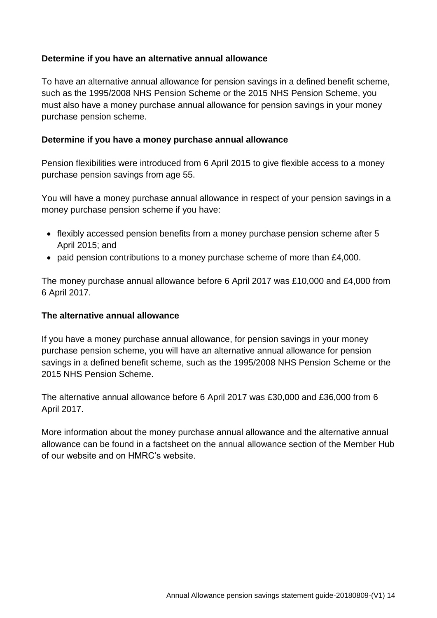#### **Determine if you have an alternative annual allowance**

To have an alternative annual allowance for pension savings in a defined benefit scheme, such as the 1995/2008 NHS Pension Scheme or the 2015 NHS Pension Scheme, you must also have a money purchase annual allowance for pension savings in your money purchase pension scheme.

#### **Determine if you have a money purchase annual allowance**

Pension flexibilities were introduced from 6 April 2015 to give flexible access to a money purchase pension savings from age 55.

You will have a money purchase annual allowance in respect of your pension savings in a money purchase pension scheme if you have:

- flexibly accessed pension benefits from a money purchase pension scheme after 5 April 2015; and
- paid pension contributions to a money purchase scheme of more than £4,000.

The money purchase annual allowance before 6 April 2017 was £10,000 and £4,000 from 6 April 2017.

#### **The alternative annual allowance**

If you have a money purchase annual allowance, for pension savings in your money purchase pension scheme, you will have an alternative annual allowance for pension savings in a defined benefit scheme, such as the 1995/2008 NHS Pension Scheme or the 2015 NHS Pension Scheme.

The alternative annual allowance before 6 April 2017 was £30,000 and £36,000 from 6 April 2017.

More information about the money purchase annual allowance and the alternative annual allowance can be found in a factsheet on the annual allowance section of the Member Hub of our website and on HMRC's website.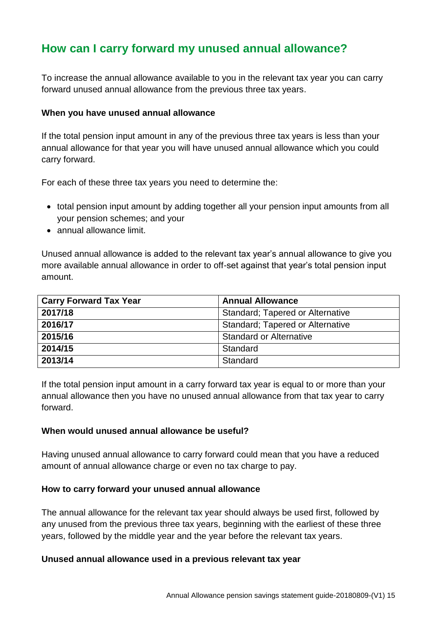## **How can I carry forward my unused annual allowance?**

To increase the annual allowance available to you in the relevant tax year you can carry forward unused annual allowance from the previous three tax years.

#### **When you have unused annual allowance**

If the total pension input amount in any of the previous three tax years is less than your annual allowance for that year you will have unused annual allowance which you could carry forward.

For each of these three tax years you need to determine the:

- total pension input amount by adding together all your pension input amounts from all your pension schemes; and your
- annual allowance limit.

Unused annual allowance is added to the relevant tax year's annual allowance to give you more available annual allowance in order to off-set against that year's total pension input amount.

| <b>Carry Forward Tax Year</b> | <b>Annual Allowance</b>                 |
|-------------------------------|-----------------------------------------|
| 2017/18                       | <b>Standard; Tapered or Alternative</b> |
| 2016/17                       | <b>Standard; Tapered or Alternative</b> |
| 2015/16                       | <b>Standard or Alternative</b>          |
| 2014/15                       | Standard                                |
| 2013/14                       | Standard                                |

If the total pension input amount in a carry forward tax year is equal to or more than your annual allowance then you have no unused annual allowance from that tax year to carry forward.

#### **When would unused annual allowance be useful?**

Having unused annual allowance to carry forward could mean that you have a reduced amount of annual allowance charge or even no tax charge to pay.

#### **How to carry forward your unused annual allowance**

The annual allowance for the relevant tax year should always be used first, followed by any unused from the previous three tax years, beginning with the earliest of these three years, followed by the middle year and the year before the relevant tax years.

#### **Unused annual allowance used in a previous relevant tax year**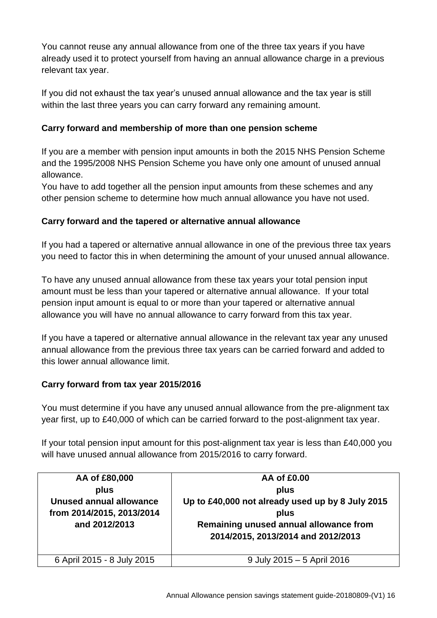You cannot reuse any annual allowance from one of the three tax years if you have already used it to protect yourself from having an annual allowance charge in a previous relevant tax year.

If you did not exhaust the tax year's unused annual allowance and the tax year is still within the last three years you can carry forward any remaining amount.

## **Carry forward and membership of more than one pension scheme**

If you are a member with pension input amounts in both the 2015 NHS Pension Scheme and the 1995/2008 NHS Pension Scheme you have only one amount of unused annual allowance.

You have to add together all the pension input amounts from these schemes and any other pension scheme to determine how much annual allowance you have not used.

## **Carry forward and the tapered or alternative annual allowance**

If you had a tapered or alternative annual allowance in one of the previous three tax years you need to factor this in when determining the amount of your unused annual allowance.

To have any unused annual allowance from these tax years your total pension input amount must be less than your tapered or alternative annual allowance. If your total pension input amount is equal to or more than your tapered or alternative annual allowance you will have no annual allowance to carry forward from this tax year.

If you have a tapered or alternative annual allowance in the relevant tax year any unused annual allowance from the previous three tax years can be carried forward and added to this lower annual allowance limit.

## **Carry forward from tax year 2015/2016**

You must determine if you have any unused annual allowance from the pre-alignment tax year first, up to £40,000 of which can be carried forward to the post-alignment tax year.

If your total pension input amount for this post-alignment tax year is less than £40,000 you will have unused annual allowance from 2015/2016 to carry forward.

| AA of £80,000<br>plus<br><b>Unused annual allowance</b><br>from 2014/2015, 2013/2014<br>and 2012/2013 | AA of £0.00<br>plus<br>Up to £40,000 not already used up by 8 July 2015<br>plus<br>Remaining unused annual allowance from<br>2014/2015, 2013/2014 and 2012/2013 |
|-------------------------------------------------------------------------------------------------------|-----------------------------------------------------------------------------------------------------------------------------------------------------------------|
| 6 April 2015 - 8 July 2015                                                                            | 9 July 2015 - 5 April 2016                                                                                                                                      |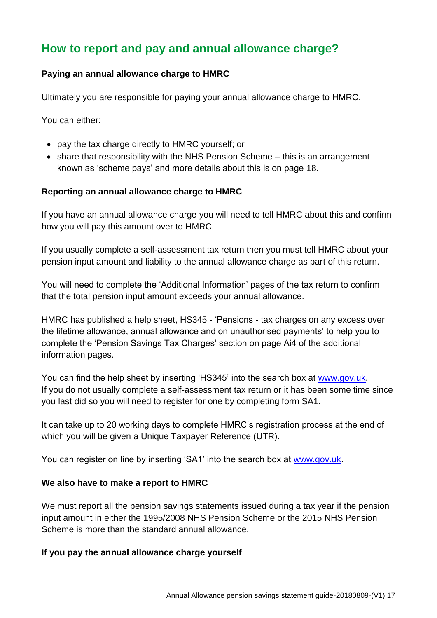## **How to report and pay and annual allowance charge?**

## **Paying an annual allowance charge to HMRC**

Ultimately you are responsible for paying your annual allowance charge to HMRC.

You can either:

- pay the tax charge directly to HMRC yourself; or
- share that responsibility with the NHS Pension Scheme this is an arrangement known as 'scheme pays' and more details about this is on page 18.

#### **Reporting an annual allowance charge to HMRC**

If you have an annual allowance charge you will need to tell HMRC about this and confirm how you will pay this amount over to HMRC.

If you usually complete a self-assessment tax return then you must tell HMRC about your pension input amount and liability to the annual allowance charge as part of this return.

You will need to complete the 'Additional Information' pages of the tax return to confirm that the total pension input amount exceeds your annual allowance.

HMRC has published a help sheet, HS345 - 'Pensions - tax charges on any excess over the lifetime allowance, annual allowance and on unauthorised payments' to help you to complete the 'Pension Savings Tax Charges' section on page Ai4 of the additional information pages.

You can find the help sheet by inserting 'HS345' into the search box at [www.gov.uk.](http://www.gov.uk/) If you do not usually complete a self-assessment tax return or it has been some time since you last did so you will need to register for one by completing form SA1.

It can take up to 20 working days to complete HMRC's registration process at the end of which you will be given a Unique Taxpayer Reference (UTR).

You can register on line by inserting 'SA1' into the search box at [www.gov.uk.](http://www.gov.uk/)

#### **We also have to make a report to HMRC**

We must report all the pension savings statements issued during a tax year if the pension input amount in either the 1995/2008 NHS Pension Scheme or the 2015 NHS Pension Scheme is more than the standard annual allowance.

## **If you pay the annual allowance charge yourself**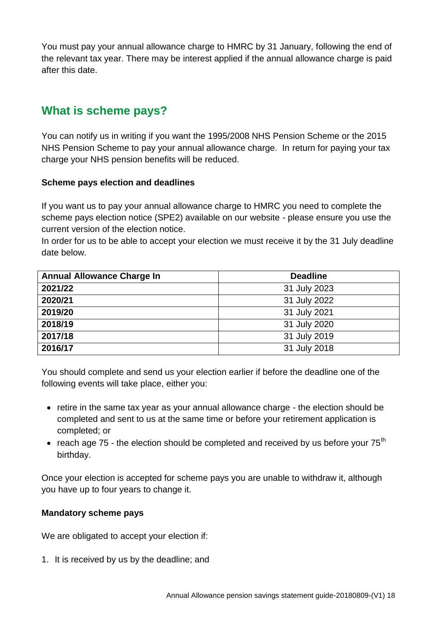You must pay your annual allowance charge to HMRC by 31 January, following the end of the relevant tax year. There may be interest applied if the annual allowance charge is paid after this date.

## **What is scheme pays?**

You can notify us in writing if you want the 1995/2008 NHS Pension Scheme or the 2015 NHS Pension Scheme to pay your annual allowance charge. In return for paying your tax charge your NHS pension benefits will be reduced.

#### **Scheme pays election and deadlines**

If you want us to pay your annual allowance charge to HMRC you need to complete the scheme pays election notice (SPE2) available on our website - please ensure you use the current version of the election notice.

In order for us to be able to accept your election we must receive it by the 31 July deadline date below.

| <b>Annual Allowance Charge In</b> | <b>Deadline</b> |
|-----------------------------------|-----------------|
| 2021/22                           | 31 July 2023    |
| 2020/21                           | 31 July 2022    |
| 2019/20                           | 31 July 2021    |
| 2018/19                           | 31 July 2020    |
| 2017/18                           | 31 July 2019    |
| 2016/17                           | 31 July 2018    |

You should complete and send us your election earlier if before the deadline one of the following events will take place, either you:

- retire in the same tax year as your annual allowance charge the election should be completed and sent to us at the same time or before your retirement application is completed; or
- reach age 75 the election should be completed and received by us before your  $75<sup>th</sup>$ birthday.

Once your election is accepted for scheme pays you are unable to withdraw it, although you have up to four years to change it.

## **Mandatory scheme pays**

We are obligated to accept your election if:

1. It is received by us by the deadline; and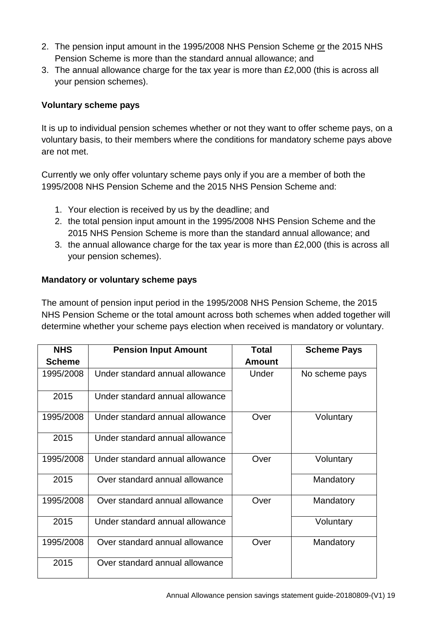- 2. The pension input amount in the 1995/2008 NHS Pension Scheme or the 2015 NHS Pension Scheme is more than the standard annual allowance; and
- 3. The annual allowance charge for the tax year is more than £2,000 (this is across all your pension schemes).

## **Voluntary scheme pays**

It is up to individual pension schemes whether or not they want to offer scheme pays, on a voluntary basis, to their members where the conditions for mandatory scheme pays above are not met.

Currently we only offer voluntary scheme pays only if you are a member of both the 1995/2008 NHS Pension Scheme and the 2015 NHS Pension Scheme and:

- 1. Your election is received by us by the deadline; and
- 2. the total pension input amount in the 1995/2008 NHS Pension Scheme and the 2015 NHS Pension Scheme is more than the standard annual allowance; and
- 3. the annual allowance charge for the tax year is more than £2,000 (this is across all your pension schemes).

## **Mandatory or voluntary scheme pays**

The amount of pension input period in the 1995/2008 NHS Pension Scheme, the 2015 NHS Pension Scheme or the total amount across both schemes when added together will determine whether your scheme pays election when received is mandatory or voluntary.

| <b>NHS</b><br><b>Scheme</b> | <b>Pension Input Amount</b>     | <b>Total</b><br><b>Amount</b> | <b>Scheme Pays</b> |
|-----------------------------|---------------------------------|-------------------------------|--------------------|
| 1995/2008                   | Under standard annual allowance | Under                         | No scheme pays     |
|                             |                                 |                               |                    |
| 2015                        | Under standard annual allowance |                               |                    |
| 1995/2008                   | Under standard annual allowance | Over                          | Voluntary          |
| 2015                        | Under standard annual allowance |                               |                    |
| 1995/2008                   | Under standard annual allowance | Over                          | Voluntary          |
| 2015                        | Over standard annual allowance  |                               | Mandatory          |
| 1995/2008                   | Over standard annual allowance  | Over                          | Mandatory          |
| 2015                        | Under standard annual allowance |                               | Voluntary          |
| 1995/2008                   | Over standard annual allowance  | Over                          | Mandatory          |
| 2015                        | Over standard annual allowance  |                               |                    |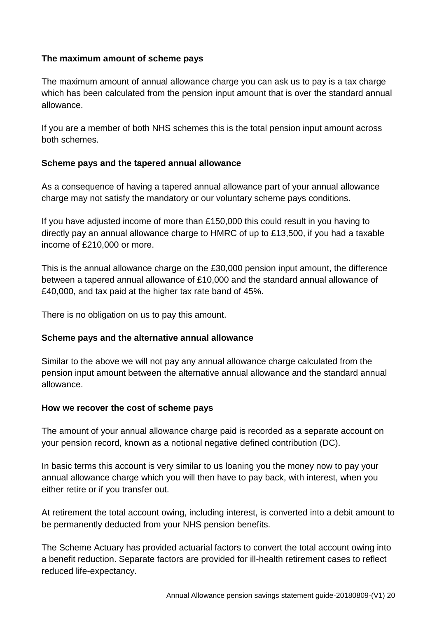#### **The maximum amount of scheme pays**

The maximum amount of annual allowance charge you can ask us to pay is a tax charge which has been calculated from the pension input amount that is over the standard annual allowance.

If you are a member of both NHS schemes this is the total pension input amount across both schemes.

#### **Scheme pays and the tapered annual allowance**

As a consequence of having a tapered annual allowance part of your annual allowance charge may not satisfy the mandatory or our voluntary scheme pays conditions.

If you have adjusted income of more than £150,000 this could result in you having to directly pay an annual allowance charge to HMRC of up to £13,500, if you had a taxable income of £210,000 or more.

This is the annual allowance charge on the £30,000 pension input amount, the difference between a tapered annual allowance of £10,000 and the standard annual allowance of £40,000, and tax paid at the higher tax rate band of 45%.

There is no obligation on us to pay this amount.

#### **Scheme pays and the alternative annual allowance**

Similar to the above we will not pay any annual allowance charge calculated from the pension input amount between the alternative annual allowance and the standard annual allowance.

#### **How we recover the cost of scheme pays**

The amount of your annual allowance charge paid is recorded as a separate account on your pension record, known as a notional negative defined contribution (DC).

In basic terms this account is very similar to us loaning you the money now to pay your annual allowance charge which you will then have to pay back, with interest, when you either retire or if you transfer out.

At retirement the total account owing, including interest, is converted into a debit amount to be permanently deducted from your NHS pension benefits.

The Scheme Actuary has provided actuarial factors to convert the total account owing into a benefit reduction. Separate factors are provided for ill-health retirement cases to reflect reduced life-expectancy.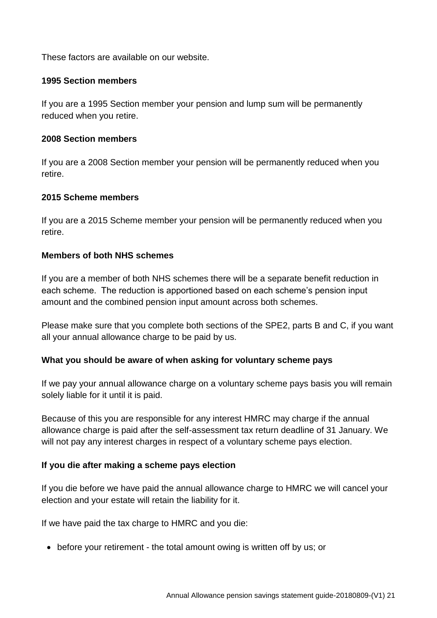These factors are available on our website.

#### **1995 Section members**

If you are a 1995 Section member your pension and lump sum will be permanently reduced when you retire.

#### **2008 Section members**

If you are a 2008 Section member your pension will be permanently reduced when you retire.

#### **2015 Scheme members**

If you are a 2015 Scheme member your pension will be permanently reduced when you retire.

#### **Members of both NHS schemes**

If you are a member of both NHS schemes there will be a separate benefit reduction in each scheme. The reduction is apportioned based on each scheme's pension input amount and the combined pension input amount across both schemes.

Please make sure that you complete both sections of the SPE2, parts B and C, if you want all your annual allowance charge to be paid by us.

#### **What you should be aware of when asking for voluntary scheme pays**

If we pay your annual allowance charge on a voluntary scheme pays basis you will remain solely liable for it until it is paid.

Because of this you are responsible for any interest HMRC may charge if the annual allowance charge is paid after the self-assessment tax return deadline of 31 January. We will not pay any interest charges in respect of a voluntary scheme pays election.

#### **If you die after making a scheme pays election**

If you die before we have paid the annual allowance charge to HMRC we will cancel your election and your estate will retain the liability for it.

If we have paid the tax charge to HMRC and you die:

• before your retirement - the total amount owing is written off by us; or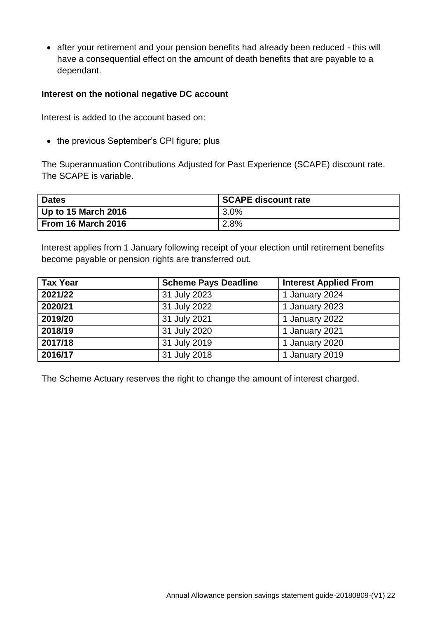after your retirement and your pension benefits had already been reduced - this will have a consequential effect on the amount of death benefits that are payable to a dependant.

#### **Interest on the notional negative DC account**

Interest is added to the account based on:

• the previous September's CPI figure; plus

The Superannuation Contributions Adjusted for Past Experience (SCAPE) discount rate. The SCAPE is variable.

| <b>Dates</b>        | <b>SCAPE discount rate</b> |
|---------------------|----------------------------|
| Up to 15 March 2016 | 3.0%                       |
| From 16 March 2016  | 2.8%                       |

Interest applies from 1 January following receipt of your election until retirement benefits become payable or pension rights are transferred out.

| <b>Tax Year</b> | <b>Scheme Pays Deadline</b> | <b>Interest Applied From</b> |
|-----------------|-----------------------------|------------------------------|
| 2021/22         | 31 July 2023                | 1 January 2024               |
| 2020/21         | 31 July 2022                | 1 January 2023               |
| 2019/20         | 31 July 2021                | 1 January 2022               |
| 2018/19         | 31 July 2020                | 1 January 2021               |
| 2017/18         | 31 July 2019                | 1 January 2020               |
| 2016/17         | 31 July 2018                | 1 January 2019               |

The Scheme Actuary reserves the right to change the amount of interest charged.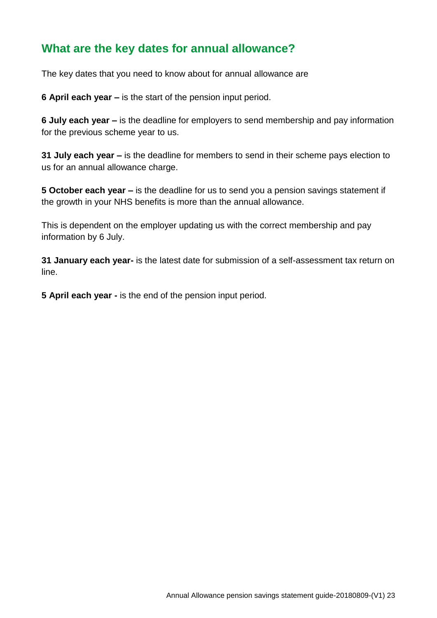## **What are the key dates for annual allowance?**

The key dates that you need to know about for annual allowance are

**6 April each year –** is the start of the pension input period.

**6 July each year –** is the deadline for employers to send membership and pay information for the previous scheme year to us.

**31 July each year –** is the deadline for members to send in their scheme pays election to us for an annual allowance charge.

**5 October each year –** is the deadline for us to send you a pension savings statement if the growth in your NHS benefits is more than the annual allowance.

This is dependent on the employer updating us with the correct membership and pay information by 6 July.

**31 January each year-** is the latest date for submission of a self-assessment tax return on line.

**5 April each year -** is the end of the pension input period.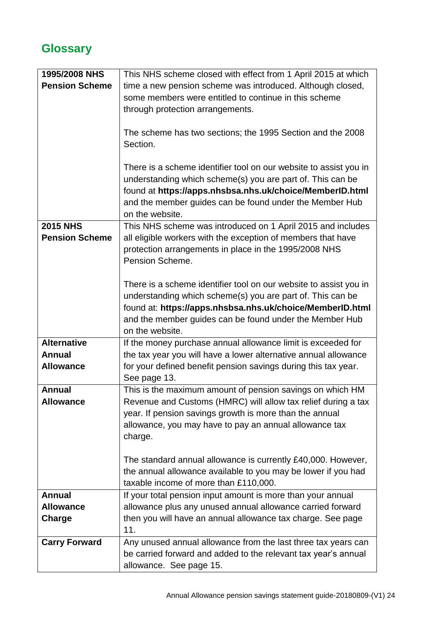# **Glossary**

| 1995/2008 NHS         | This NHS scheme closed with effect from 1 April 2015 at which     |
|-----------------------|-------------------------------------------------------------------|
| <b>Pension Scheme</b> | time a new pension scheme was introduced. Although closed,        |
|                       | some members were entitled to continue in this scheme             |
|                       | through protection arrangements.                                  |
|                       |                                                                   |
|                       |                                                                   |
|                       | The scheme has two sections; the 1995 Section and the 2008        |
|                       | Section.                                                          |
|                       |                                                                   |
|                       | There is a scheme identifier tool on our website to assist you in |
|                       | understanding which scheme(s) you are part of. This can be        |
|                       | found at https://apps.nhsbsa.nhs.uk/choice/MemberID.html          |
|                       | and the member guides can be found under the Member Hub           |
|                       | on the website.                                                   |
| <b>2015 NHS</b>       | This NHS scheme was introduced on 1 April 2015 and includes       |
| <b>Pension Scheme</b> | all eligible workers with the exception of members that have      |
|                       | protection arrangements in place in the 1995/2008 NHS             |
|                       | Pension Scheme.                                                   |
|                       |                                                                   |
|                       | There is a scheme identifier tool on our website to assist you in |
|                       | understanding which scheme(s) you are part of. This can be        |
|                       | found at: https://apps.nhsbsa.nhs.uk/choice/MemberID.html         |
|                       |                                                                   |
|                       | and the member guides can be found under the Member Hub           |
|                       | on the website.                                                   |
| <b>Alternative</b>    | If the money purchase annual allowance limit is exceeded for      |
| <b>Annual</b>         | the tax year you will have a lower alternative annual allowance   |
| <b>Allowance</b>      | for your defined benefit pension savings during this tax year.    |
|                       | See page 13.                                                      |
| <b>Annual</b>         | This is the maximum amount of pension savings on which HM         |
| <b>Allowance</b>      | Revenue and Customs (HMRC) will allow tax relief during a tax     |
|                       | year. If pension savings growth is more than the annual           |
|                       | allowance, you may have to pay an annual allowance tax            |
|                       | charge.                                                           |
|                       |                                                                   |
|                       | The standard annual allowance is currently £40,000. However,      |
|                       | the annual allowance available to you may be lower if you had     |
|                       | taxable income of more than £110,000.                             |
| <b>Annual</b>         | If your total pension input amount is more than your annual       |
| <b>Allowance</b>      | allowance plus any unused annual allowance carried forward        |
| Charge                | then you will have an annual allowance tax charge. See page       |
|                       | 11.                                                               |
| <b>Carry Forward</b>  | Any unused annual allowance from the last three tax years can     |
|                       | be carried forward and added to the relevant tax year's annual    |
|                       | allowance. See page 15.                                           |
|                       |                                                                   |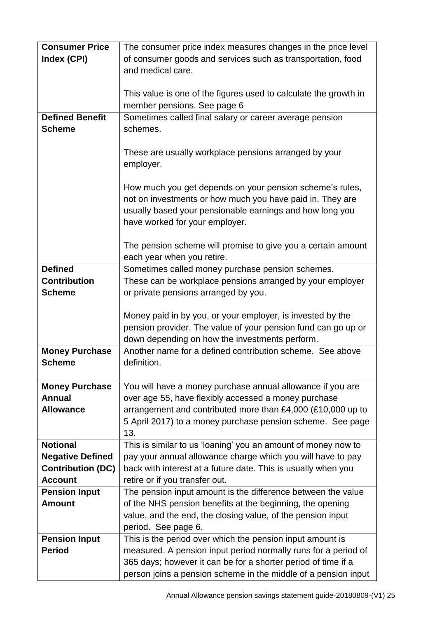| <b>Consumer Price</b>    | The consumer price index measures changes in the price level     |
|--------------------------|------------------------------------------------------------------|
| Index (CPI)              | of consumer goods and services such as transportation, food      |
|                          | and medical care.                                                |
|                          |                                                                  |
|                          |                                                                  |
|                          | This value is one of the figures used to calculate the growth in |
|                          | member pensions. See page 6                                      |
| <b>Defined Benefit</b>   | Sometimes called final salary or career average pension          |
| <b>Scheme</b>            | schemes.                                                         |
|                          |                                                                  |
|                          | These are usually workplace pensions arranged by your            |
|                          | employer.                                                        |
|                          |                                                                  |
|                          | How much you get depends on your pension scheme's rules,         |
|                          | not on investments or how much you have paid in. They are        |
|                          | usually based your pensionable earnings and how long you         |
|                          | have worked for your employer.                                   |
|                          |                                                                  |
|                          |                                                                  |
|                          | The pension scheme will promise to give you a certain amount     |
|                          | each year when you retire.                                       |
| <b>Defined</b>           | Sometimes called money purchase pension schemes.                 |
| <b>Contribution</b>      | These can be workplace pensions arranged by your employer        |
| <b>Scheme</b>            | or private pensions arranged by you.                             |
|                          |                                                                  |
|                          | Money paid in by you, or your employer, is invested by the       |
|                          | pension provider. The value of your pension fund can go up or    |
|                          | down depending on how the investments perform.                   |
| <b>Money Purchase</b>    | Another name for a defined contribution scheme. See above        |
| <b>Scheme</b>            | definition.                                                      |
|                          |                                                                  |
| <b>Money Purchase</b>    | You will have a money purchase annual allowance if you are       |
| <b>Annual</b>            | over age 55, have flexibly accessed a money purchase             |
| <b>Allowance</b>         | arrangement and contributed more than £4,000 (£10,000 up to      |
|                          | 5 April 2017) to a money purchase pension scheme. See page       |
|                          | 13.                                                              |
| <b>Notional</b>          |                                                                  |
|                          | This is similar to us 'loaning' you an amount of money now to    |
| <b>Negative Defined</b>  | pay your annual allowance charge which you will have to pay      |
| <b>Contribution (DC)</b> | back with interest at a future date. This is usually when you    |
| <b>Account</b>           | retire or if you transfer out.                                   |
| <b>Pension Input</b>     | The pension input amount is the difference between the value     |
| <b>Amount</b>            | of the NHS pension benefits at the beginning, the opening        |
|                          | value, and the end, the closing value, of the pension input      |
|                          | period. See page 6.                                              |
| <b>Pension Input</b>     | This is the period over which the pension input amount is        |
| <b>Period</b>            | measured. A pension input period normally runs for a period of   |
|                          | 365 days; however it can be for a shorter period of time if a    |
|                          | person joins a pension scheme in the middle of a pension input   |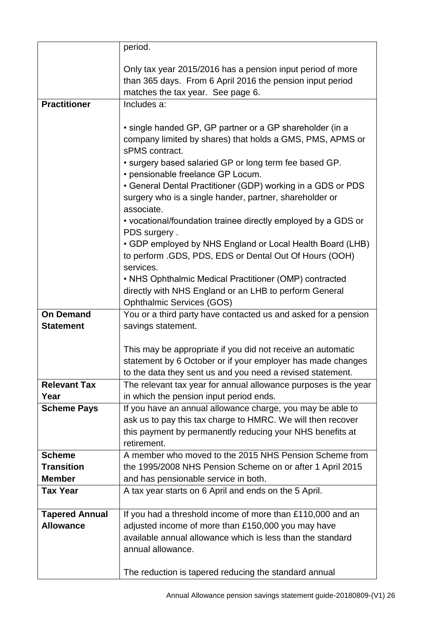|                            | period.                                                                                               |
|----------------------------|-------------------------------------------------------------------------------------------------------|
|                            | Only tax year 2015/2016 has a pension input period of more                                            |
|                            | than 365 days. From 6 April 2016 the pension input period                                             |
|                            | matches the tax year. See page 6.                                                                     |
| <b>Practitioner</b>        | Includes a:                                                                                           |
|                            |                                                                                                       |
|                            | • single handed GP, GP partner or a GP shareholder (in a                                              |
|                            | company limited by shares) that holds a GMS, PMS, APMS or                                             |
|                            | sPMS contract.                                                                                        |
|                            | . surgery based salaried GP or long term fee based GP.                                                |
|                            | • pensionable freelance GP Locum.<br>• General Dental Practitioner (GDP) working in a GDS or PDS      |
|                            | surgery who is a single hander, partner, shareholder or                                               |
|                            | associate.                                                                                            |
|                            | • vocational/foundation trainee directly employed by a GDS or                                         |
|                            | PDS surgery.                                                                                          |
|                            | • GDP employed by NHS England or Local Health Board (LHB)                                             |
|                            | to perform .GDS, PDS, EDS or Dental Out Of Hours (OOH)                                                |
|                            | services.                                                                                             |
|                            | • NHS Ophthalmic Medical Practitioner (OMP) contracted                                                |
|                            | directly with NHS England or an LHB to perform General                                                |
|                            | <b>Ophthalmic Services (GOS)</b>                                                                      |
| <b>On Demand</b>           | You or a third party have contacted us and asked for a pension                                        |
| <b>Statement</b>           | savings statement.                                                                                    |
|                            |                                                                                                       |
|                            | This may be appropriate if you did not receive an automatic                                           |
|                            | statement by 6 October or if your employer has made changes                                           |
|                            | to the data they sent us and you need a revised statement.                                            |
| <b>Relevant Tax</b>        | The relevant tax year for annual allowance purposes is the year                                       |
| Year<br><b>Scheme Pays</b> | in which the pension input period ends.<br>If you have an annual allowance charge, you may be able to |
|                            | ask us to pay this tax charge to HMRC. We will then recover                                           |
|                            | this payment by permanently reducing your NHS benefits at                                             |
|                            | retirement.                                                                                           |
| <b>Scheme</b>              | A member who moved to the 2015 NHS Pension Scheme from                                                |
| <b>Transition</b>          | the 1995/2008 NHS Pension Scheme on or after 1 April 2015                                             |
| <b>Member</b>              | and has pensionable service in both.                                                                  |
| <b>Tax Year</b>            | A tax year starts on 6 April and ends on the 5 April.                                                 |
| <b>Tapered Annual</b>      | If you had a threshold income of more than £110,000 and an                                            |
| <b>Allowance</b>           | adjusted income of more than £150,000 you may have                                                    |
|                            | available annual allowance which is less than the standard                                            |
|                            | annual allowance.                                                                                     |
|                            |                                                                                                       |
|                            | The reduction is tapered reducing the standard annual                                                 |